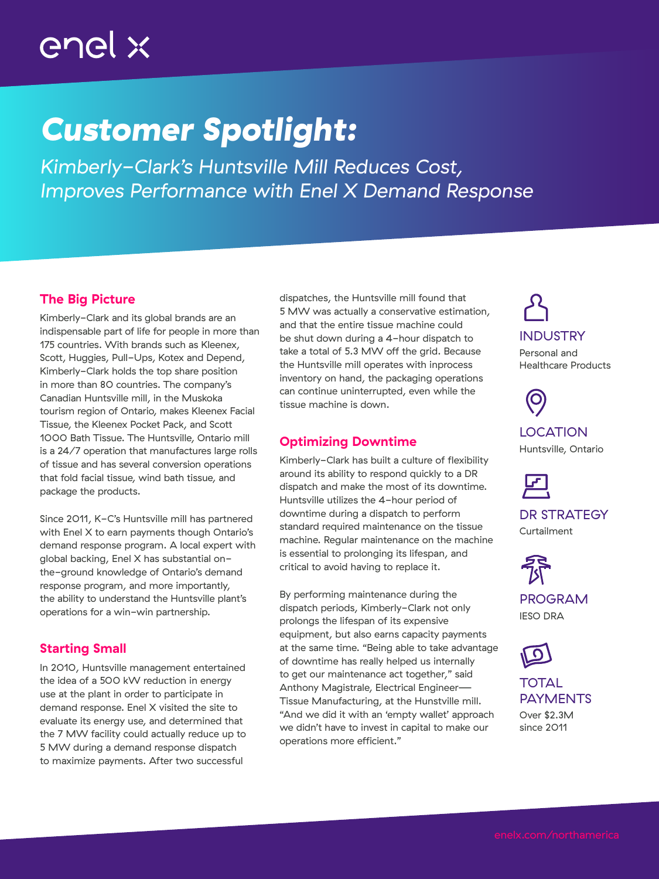# enel x

## *Customer Spotlight:*

*Kimberly-Clark's Huntsville Mill Reduces Cost, Improves Performance with Enel X Demand Response*

## The Big Picture

Kimberly-Clark and its global brands are an indispensable part of life for people in more than 175 countries. With brands such as Kleenex, Scott, Huggies, Pull-Ups, Kotex and Depend, Kimberly-Clark holds the top share position in more than 80 countries. The company's Canadian Huntsville mill, in the Muskoka tourism region of Ontario, makes Kleenex Facial Tissue, the Kleenex Pocket Pack, and Scott 1000 Bath Tissue. The Huntsville, Ontario mill is a 24/7 operation that manufactures large rolls of tissue and has several conversion operations that fold facial tissue, wind bath tissue, and package the products.

Since 2011, K-C's Huntsville mill has partnered with Enel X to earn payments though Ontario's demand response program. A local expert with global backing, Enel X has substantial onthe-ground knowledge of Ontario's demand response program, and more importantly, the ability to understand the Huntsville plant's operations for a win-win partnership.

## Starting Small

In 2010, Huntsville management entertained the idea of a 500 kW reduction in energy use at the plant in order to participate in demand response. Enel X visited the site to evaluate its energy use, and determined that the 7 MW facility could actually reduce up to 5 MW during a demand response dispatch to maximize payments. After two successful

dispatches, the Huntsville mill found that 5 MW was actually a conservative estimation, and that the entire tissue machine could be shut down during a 4-hour dispatch to take a total of 5.3 MW off the grid. Because the Huntsville mill operates with inprocess inventory on hand, the packaging operations can continue uninterrupted, even while the tissue machine is down.

### Optimizing Downtime

Kimberly-Clark has built a culture of flexibility around its ability to respond quickly to a DR dispatch and make the most of its downtime. Huntsville utilizes the 4-hour period of downtime during a dispatch to perform standard required maintenance on the tissue machine. Regular maintenance on the machine is essential to prolonging its lifespan, and critical to avoid having to replace it.

By performing maintenance during the dispatch periods, Kimberly-Clark not only prolongs the lifespan of its expensive equipment, but also earns capacity payments at the same time. "Being able to take advantage of downtime has really helped us internally to get our maintenance act together," said Anthony Magistrale, Electrical Engineer— Tissue Manufacturing, at the Hunstville mill. "And we did it with an 'empty wallet' approach we didn't have to invest in capital to make our operations more efficient."

INDUSTRY Personal and

Healthcare Products

**LOCATION** Huntsville, Ontario



DR STRATEGY Curtailment



PROGRAM IESO DRA



#### TOTAL PAYMENTS Over \$2.3M

since 2011